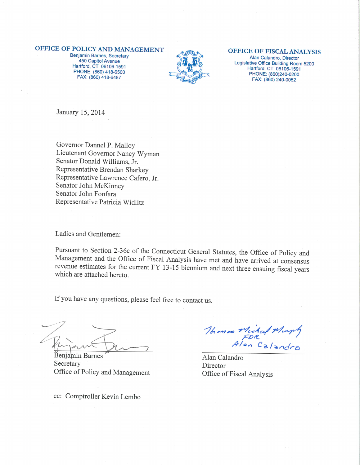### OFFICE OF POLICY AND MANAGEMENT

Benjamin Barnes, Secretary 450 Capitol Avenue Hartford, CT 06106-1591 PHONE: (860) 418-6500 FAX: (860) 418-6487



#### OFFICE OF FISCAL ANALYSIS

Alan Calandro, Director Legislative Office Building Room 5200 Hartford, CT 06106-1591 PHONE: (860)240-0200 FAX: (860) 240-0052

January 15, 2014

Governor Dannel P. Malloy Lieutenant Governor Nancy Wyman Senator Donald Williams, Jr. Representative Brendan Sharkey Representative Lawrence Cafero, Jr. Senator John McKinney Senator John Fonfara Representative Patricia Widlitz

Ladies and Gentlemen:

Pursuant to Section 2-36c of the Connecticut General Statutes, the Office of Policy and Management and the Office of Fiscal Analysis have met and have arrived at consensus revenue estimates for the current FY 13-15 biennium and next three ensuing fiscal years which are attached hereto.

If you have any questions, please feel free to contact us.

Benjamin Barnes

Secretary Office of Policy and Management

cc: Comptroller Kevin Lembo

Thomas Michael Murphy

Alan Calandro Director Office of Fiscal Analysis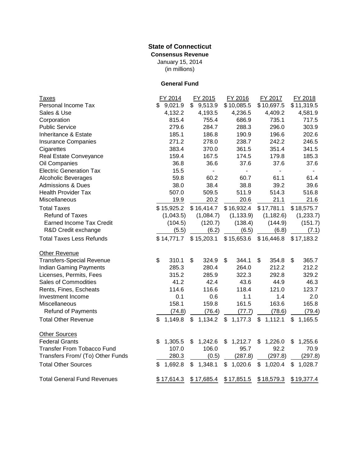# **State of Connecticut Consensus Revenue**

(in millions) January 15, 2014

## **General Fund**

| <b>Taxes</b>                       | FY 2014       | FY 2015                     | FY 2016       | FY 2017                   | FY 2018        |
|------------------------------------|---------------|-----------------------------|---------------|---------------------------|----------------|
| Personal Income Tax                | 9,021.9<br>\$ | 9,513.9<br>$\mathfrak{S}^-$ | \$10,085.5    | \$10,697.5                | \$11,319.5     |
| Sales & Use                        | 4,132.2       | 4,193.5                     | 4,236.5       | 4,409.2                   | 4,581.9        |
| Corporation                        | 815.4         | 755.4                       | 686.9         | 735.1                     | 717.5          |
| <b>Public Service</b>              | 279.6         | 284.7                       | 288.3         | 296.0                     | 303.9          |
| Inheritance & Estate               | 185.1         | 186.8                       | 190.9         | 196.6                     | 202.6          |
| <b>Insurance Companies</b>         | 271.2         | 278.0                       | 238.7         | 242.2                     | 246.5          |
| Cigarettes                         | 383.4         | 370.0                       | 361.5         | 351.4                     | 341.5          |
| Real Estate Conveyance             | 159.4         | 167.5                       | 174.5         | 179.8                     | 185.3          |
| Oil Companies                      | 36.8          | 36.6                        | 37.6          | 37.6                      | 37.6           |
| <b>Electric Generation Tax</b>     | 15.5          | $\overline{\phantom{0}}$    | ÷.            | $\blacksquare$            | $\blacksquare$ |
| <b>Alcoholic Beverages</b>         | 59.8          | 60.2                        | 60.7          | 61.1                      | 61.4           |
| <b>Admissions &amp; Dues</b>       | 38.0          | 38.4                        | 38.8          | 39.2                      | 39.6           |
| <b>Health Provider Tax</b>         | 507.0         | 509.5                       | 511.9         | 514.3                     | 516.8          |
| Miscellaneous                      | 19.9          | 20.2                        | 20.6          | 21.1                      | 21.6           |
| <b>Total Taxes</b>                 | \$15,925.2    | \$16,414.7                  | \$16,932.4    | \$17,781.1                | \$18,575.7     |
| <b>Refund of Taxes</b>             | (1,043.5)     | (1,084.7)                   | (1, 133.9)    | (1, 182.6)                | (1,233.7)      |
| <b>Earned Income Tax Credit</b>    | (104.5)       | (120.7)                     | (138.4)       | (144.9)                   | (151.7)        |
| R&D Credit exchange                | (5.5)         | (6.2)                       | (6.5)         | (6.8)                     | (7.1)          |
| <b>Total Taxes Less Refunds</b>    | \$14,771.7    | \$15,203.1                  | \$15,653.6    | \$16,446.8                | \$17,183.2     |
| Other Revenue                      |               |                             |               |                           |                |
| <b>Transfers-Special Revenue</b>   | \$<br>310.1   | \$<br>324.9                 | \$<br>344.1   | \$<br>354.8               | \$<br>365.7    |
| <b>Indian Gaming Payments</b>      | 285.3         | 280.4                       | 264.0         | 212.2                     | 212.2          |
| Licenses, Permits, Fees            | 315.2         | 285.9                       | 322.3         | 292.8                     | 329.2          |
| Sales of Commodities               | 41.2          | 42.4                        | 43.6          | 44.9                      | 46.3           |
| Rents, Fines, Escheats             | 114.6         | 116.6                       | 118.4         | 121.0                     | 123.7          |
| Investment Income                  | 0.1           | 0.6                         | 1.1           | 1.4                       | 2.0            |
| Miscellaneous                      | 158.1         | 159.8                       | 161.5         | 163.6                     | 165.8          |
| <b>Refund of Payments</b>          | (74.8)        | (76.4)                      | (77.7)        | (78.6)                    | (79.4)         |
| <b>Total Other Revenue</b>         | \$<br>1,149.8 | 1,134.2<br>\$               | \$<br>1,177.3 | $\mathfrak{L}$<br>1,112.1 | \$<br>1,165.5  |
| <b>Other Sources</b>               |               |                             |               |                           |                |
| <b>Federal Grants</b>              | 1,305.5<br>\$ | 1,242.6<br>\$               | \$<br>1,212.7 | 1,226.0<br>\$             | 1,255.6<br>\$  |
| <b>Transfer From Tobacco Fund</b>  | 107.0         | 106.0                       | 95.7          | 92.2                      | 70.9           |
| Transfers From/ (To) Other Funds   | 280.3         | (0.5)                       | (287.8)       | (297.8)                   | (297.8)        |
| <b>Total Other Sources</b>         | \$<br>1,692.8 | \$<br>1,348.1               | \$1,020.6     | \$1,020.4                 | \$<br>1,028.7  |
| <b>Total General Fund Revenues</b> | \$17,614.3    | \$17,685.4                  | \$17,851.5    | \$18,579.3                | \$19,377.4     |
|                                    |               |                             |               |                           |                |